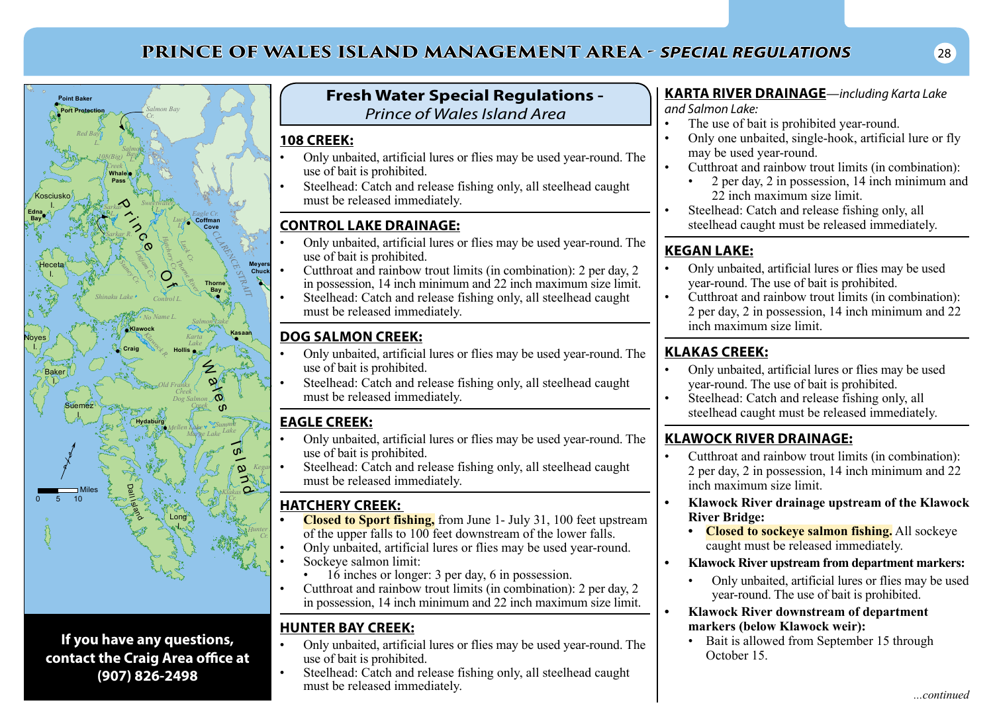# **PRINCE OF WALES ISLAND MANAGEMENT AREA -** *SPECIAL REGULATIONS* <sup>28</sup>



**If you have any questions, contact the Craig Area office at (907) 826-2498**

### **Fresh Water Special Regulations -**  *Prince of Wales Island Area*

#### **108 CREEK:**

**Wrangell** 

- Only unbaited, artificial lures or flies may be used year-round. The use of bait is prohibited.
- Steelhead: Catch and release fishing only, all steelhead caught must be released immediately.

### **CONTROL LAKE DRAINAGE:**

- Only unbaited, artificial lures or flies may be used year-round. The use of bait is prohibited.
- Cutthroat and rainbow trout limits (in combination): 2 per day, 2 in possession, 14 inch minimum and 22 inch maximum size limit.
- Steelhead: Catch and release fishing only, all steelhead caught must be released immediately.

## **DOG SALMON CREEK:**

- Only unbaited, artificial lures or flies may be used year-round. The use of bait is prohibited.
- Steelhead: Catch and release fishing only, all steelhead caught must be released immediately.

### **EAGLE CREEK:**

- Only unbaited, artificial lures or flies may be used year-round. The use of bait is prohibited.
- Steelhead: Catch and release fishing only, all steelhead caught must be released immediately.

### **HATCHERY CREEK:**

- **Closed to Sport fishing,** from June 1- July 31, 100 feet upstream of the upper falls to 100 feet downstream of the lower falls.
- Only unbaited, artificial lures or flies may be used year-round.
- Sockeye salmon limit:
	- $\cdot$  16 inches or longer: 3 per day, 6 in possession.
- Cutthroat and rainbow trout limits (in combination): 2 per day, 2 in possession, 14 inch minimum and 22 inch maximum size limit.

# **HUNTER BAY CREEK:**

- Only unbaited, artificial lures or flies may be used year-round. The use of bait is prohibited.
- Steelhead: Catch and release fishing only, all steelhead caught must be released immediately.

#### **KARTA RIVER DRAINAGE***—including Karta Lake and Salmon Lake:*

- The use of bait is prohibited year-round.
- Only one unbaited, single-hook, artificial lure or fly may be used year-round.
- Cutthroat and rainbow trout limits (in combination):
	- 2 per day, 2 in possession, 14 inch minimum and 22 inch maximum size limit.
- Steelhead: Catch and release fishing only, all steelhead caught must be released immediately.

# **KEGAN LAKE:**

- Only unbaited, artificial lures or flies may be used year-round. The use of bait is prohibited.
- Cutthroat and rainbow trout limits (in combination): 2 per day, 2 in possession, 14 inch minimum and 22 inch maximum size limit.

## **KLAKAS CREEK:**

- Only unbaited, artificial lures or flies may be used year-round. The use of bait is prohibited.
- Steelhead: Catch and release fishing only, all steelhead caught must be released immediately.

# **KLAWOCK RIVER DRAINAGE:**

- Cutthroat and rainbow trout limits (in combination): 2 per day, 2 in possession, 14 inch minimum and 22 inch maximum size limit.
- **• Klawock River drainage upstream of the Klawock River Bridge:**
	- **• Closed to sockeye salmon fishing.** All sockeye caught must be released immediately.
- **• Klawock River upstream from department markers:**
	- Only unbaited, artificial lures or flies may be used year-round. The use of bait is prohibited.
- **• Klawock River downstream of department markers (below Klawock weir):**
	- Bait is allowed from September 15 through October 15.